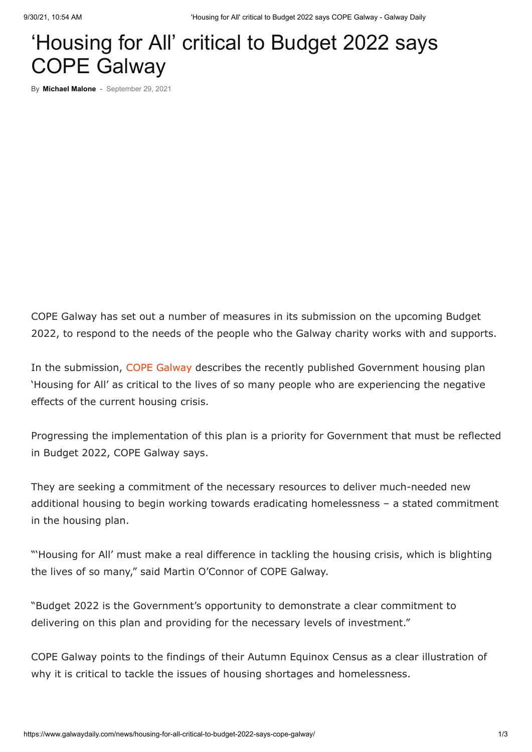## 'Housing for All' critical to Budget 2022 says COPE Galway

By **[Michael Malone](https://www.galwaydaily.com/author/miguel/)** - September 29, 2021

COPE Galway has set out a number of measures in its submission on the upcoming Budget 2022, to respond to the needs of the people who the Galway charity works with and supports.

In the submission, [COPE Galway](https://www.copegalway.ie/) describes the recently published Government housing plan 'Housing for All' as critical to the lives of so many people who are experiencing the negative effects of the current housing crisis.

Progressing the implementation of this plan is a priority for Government that must be reflected in Budget 2022, COPE Galway says.

They are seeking a commitment of the necessary resources to deliver much-needed new additional housing to begin working towards eradicating homelessness – a stated commitment in the housing plan.

"'Housing for All' must make a real difference in tackling the housing crisis, which is blighting the lives of so many," said Martin O'Connor of COPE Galway.

"Budget 2022 is the Government's opportunity to demonstrate a clear commitment to delivering on this plan and providing for the necessary levels of investment."

COPE Galway points to the findings of their Autumn Equinox Census as a clear illustration of why it is critical to tackle the issues of housing shortages and homelessness.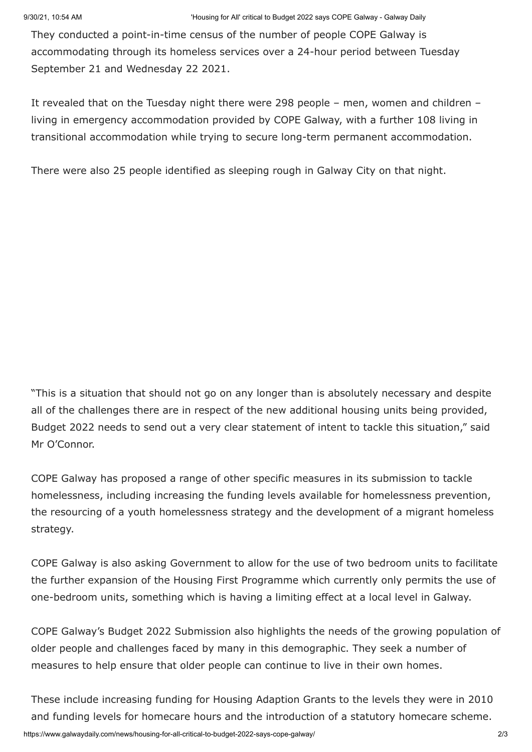They conducted a point-in-time census of the number of people COPE Galway is accommodating through its homeless services over a 24-hour period between Tuesday September 21 and Wednesday 22 2021.

It revealed that on the Tuesday night there were 298 people – men, women and children – living in emergency accommodation provided by COPE Galway, with a further 108 living in transitional accommodation while trying to secure long-term permanent accommodation.

There were also 25 people identified as sleeping rough in Galway City on that night.

"This is a situation that should not go on any longer than is absolutely necessary and despite all of the challenges there are in respect of the new additional housing units being provided, Budget 2022 needs to send out a very clear statement of intent to tackle this situation," said Mr O'Connor.

COPE Galway has proposed a range of other specific measures in its submission to tackle homelessness, including increasing the funding levels available for homelessness prevention, the resourcing of a youth homelessness strategy and the development of a migrant homeless strategy.

COPE Galway is also asking Government to allow for the use of two bedroom units to facilitate the further expansion of the Housing First Programme which currently only permits the use of one-bedroom units, something which is having a limiting effect at a local level in Galway.

COPE Galway's Budget 2022 Submission also highlights the needs of the growing population of older people and challenges faced by many in this demographic. They seek a number of measures to help ensure that older people can continue to live in their own homes.

These include increasing funding for Housing Adaption Grants to the levels they were in 2010 and funding levels for homecare hours and the introduction of a statutory homecare scheme.